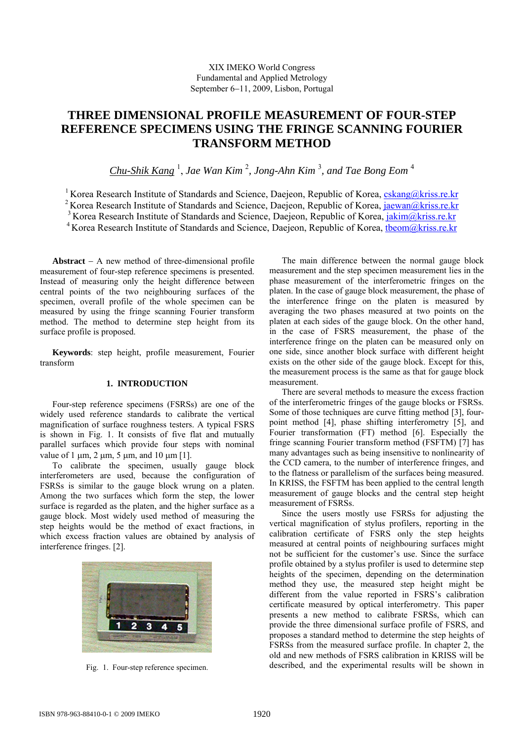# **THREE DIMENSIONAL PROFILE MEASUREMENT OF FOUR-STEP REFERENCE SPECIMENS USING THE FRINGE SCANNING FOURIER TRANSFORM METHOD**

*Chu-Shik Kang* <sup>1</sup> , *Jae Wan Kim* <sup>2</sup> *, Jong-Ahn Kim* <sup>3</sup> *, and Tae Bong Eom* <sup>4</sup>

<sup>1</sup> Korea Research Institute of Standards and Science, Daejeon, Republic of Korea,  $cskang@kriss.re.kr$ <sup>2</sup> Korea Research Institute of Standards and Science, Daejeon, Republic of Korea, jaewan@kriss.re.kr <sup>3</sup> Korea Research Institute of Standards and Science, Daejeon, Republic of Korea, jakim@kriss.re.kr <sup>4</sup> Korea Research Institute of Standards and Science, Daejeon, Republic of Korea, theom@kriss.re.kr

**Abstract** − A new method of three-dimensional profile measurement of four-step reference specimens is presented. Instead of measuring only the height difference between central points of the two neighbouring surfaces of the specimen, overall profile of the whole specimen can be measured by using the fringe scanning Fourier transform method. The method to determine step height from its surface profile is proposed.

**Keywords**: step height, profile measurement, Fourier transform

## **1. INTRODUCTION**

Four-step reference specimens (FSRSs) are one of the widely used reference standards to calibrate the vertical magnification of surface roughness testers. A typical FSRS is shown in Fig. 1. It consists of five flat and mutually parallel surfaces which provide four steps with nominal value of 1  $\mu$ m, 2  $\mu$ m, 5  $\mu$ m, and 10  $\mu$ m [1].

To calibrate the specimen, usually gauge block interferometers are used, because the configuration of FSRSs is similar to the gauge block wrung on a platen. Among the two surfaces which form the step, the lower surface is regarded as the platen, and the higher surface as a gauge block. Most widely used method of measuring the step heights would be the method of exact fractions, in which excess fraction values are obtained by analysis of interference fringes. [2].



Fig. 1. Four-step reference specimen.

The main difference between the normal gauge block measurement and the step specimen measurement lies in the phase measurement of the interferometric fringes on the platen. In the case of gauge block measurement, the phase of the interference fringe on the platen is measured by averaging the two phases measured at two points on the platen at each sides of the gauge block. On the other hand, in the case of FSRS measurement, the phase of the interference fringe on the platen can be measured only on one side, since another block surface with different height exists on the other side of the gauge block. Except for this, the measurement process is the same as that for gauge block measurement.

There are several methods to measure the excess fraction of the interferometric fringes of the gauge blocks or FSRSs. Some of those techniques are curve fitting method [3], fourpoint method [4], phase shifting interferometry [5], and Fourier transformation (FT) method [6]. Especially the fringe scanning Fourier transform method (FSFTM) [7] has many advantages such as being insensitive to nonlinearity of the CCD camera, to the number of interference fringes, and to the flatness or parallelism of the surfaces being measured. In KRISS, the FSFTM has been applied to the central length measurement of gauge blocks and the central step height measurement of FSRSs.

Since the users mostly use FSRSs for adjusting the vertical magnification of stylus profilers, reporting in the calibration certificate of FSRS only the step heights measured at central points of neighbouring surfaces might not be sufficient for the customer's use. Since the surface profile obtained by a stylus profiler is used to determine step heights of the specimen, depending on the determination method they use, the measured step height might be different from the value reported in FSRS's calibration certificate measured by optical interferometry. This paper presents a new method to calibrate FSRSs, which can provide the three dimensional surface profile of FSRS, and proposes a standard method to determine the step heights of FSRSs from the measured surface profile. In chapter 2, the old and new methods of FSRS calibration in KRISS will be described, and the experimental results will be shown in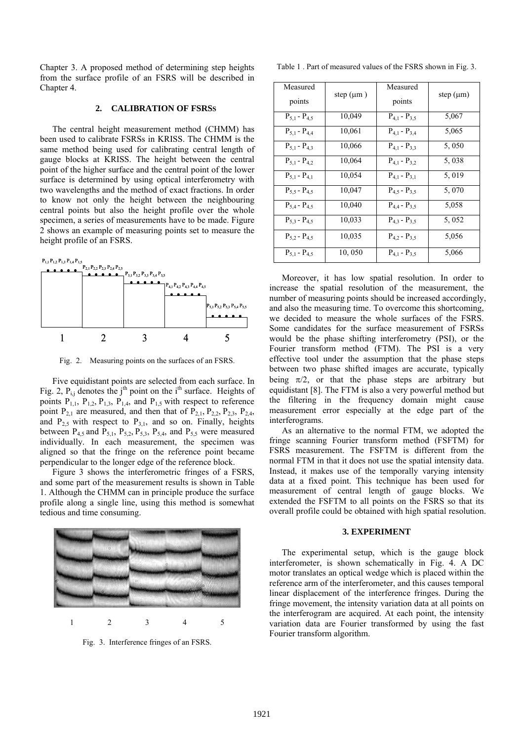Chapter 3. A proposed method of determining step heights from the surface profile of an FSRS will be described in Chapter 4.

#### **2. CALIBRATION OF FSRSS**

The central height measurement method (CHMM) has been used to calibrate FSRSs in KRISS. The CHMM is the same method being used for calibrating central length of gauge blocks at KRISS. The height between the central point of the higher surface and the central point of the lower surface is determined by using optical interferometry with two wavelengths and the method of exact fractions. In order to know not only the height between the neighbouring central points but also the height profile over the whole specimen, a series of measurements have to be made. Figure 2 shows an example of measuring points set to measure the height profile of an FSRS.



Fig. 2. Measuring points on the surfaces of an FSRS.

Five equidistant points are selected from each surface. In Fig. 2,  $P_{i,j}$  denotes the j<sup>th</sup> point on the i<sup>th</sup> surface. Heights of points  $P_{1,1}$ ,  $P_{1,2}$ ,  $P_{1,3}$ ,  $P_{1,4}$ , and  $P_{1,5}$  with respect to reference point  $P_{21}$  are measured, and then that of  $P_{21}$ ,  $P_{22}$ ,  $P_{23}$ ,  $P_{24}$ , and  $P_{2.5}$  with respect to  $P_{3.1}$ , and so on. Finally, heights between  $P_{4,5}$  and  $P_{5,1}$ ,  $P_{5,2}$ ,  $P_{5,3}$ ,  $P_{5,4}$ , and  $P_{5,5}$  were measured individually. In each measurement, the specimen was aligned so that the fringe on the reference point became perpendicular to the longer edge of the reference block.

Figure 3 shows the interferometric fringes of a FSRS, and some part of the measurement results is shown in Table 1. Although the CHMM can in principle produce the surface profile along a single line, using this method is somewhat tedious and time consuming.



Fig. 3. Interference fringes of an FSRS.

Table 1 . Part of measured values of the FSRS shown in Fig. 3.

| Measured<br>points    | step $(\mu m)$ | Measured<br>points    | step $(\mu m)$ |
|-----------------------|----------------|-----------------------|----------------|
|                       | 10,049         |                       | 5,067          |
| $P_{5,1}$ - $P_{4,5}$ |                | $P_{4,1}$ - $P_{3,5}$ |                |
| $P_{5,1}$ - $P_{4,4}$ | 10,061         | $P_{4,1} - P_{3,4}$   | 5,065          |
| $P_{5,1} - P_{4,3}$   | 10,066         | $P_{4,1} - P_{3,3}$   | 5,050          |
| $P_{5.1} - P_{4.2}$   | 10,064         | $P_{4,1} - P_{3,2}$   | 5,038          |
| $P_{5,1} - P_{4,1}$   | 10,054         | $P_{4,1} - P_{3,1}$   | 5,019          |
| $P_{5,5} - P_{4,5}$   | 10,047         | $P_{4,5} - P_{3,5}$   | 5,070          |
| $P_{5,4} - P_{4,5}$   | 10,040         | $P_{4,4} - P_{3,5}$   | 5,058          |
| $P_5$ 3 - $P_4$ 5     | 10,033         | $P_{4,3} - P_{3,5}$   | 5,052          |
| $P_{5,2} - P_{4,5}$   | 10,035         | $P_{4,2} - P_{3,5}$   | 5,056          |
| $P_{5,1} - P_{4,5}$   | 10,050         | $P_{4,1} - P_{3,5}$   | 5,066          |

Moreover, it has low spatial resolution. In order to increase the spatial resolution of the measurement, the number of measuring points should be increased accordingly, and also the measuring time. To overcome this shortcoming, we decided to measure the whole surfaces of the FSRS. Some candidates for the surface measurement of FSRSs would be the phase shifting interferometry (PSI), or the Fourier transform method (FTM). The PSI is a very effective tool under the assumption that the phase steps between two phase shifted images are accurate, typically being  $\pi/2$ , or that the phase steps are arbitrary but equidistant [8]. The FTM is also a very powerful method but the filtering in the frequency domain might cause measurement error especially at the edge part of the interferograms.

As an alternative to the normal FTM, we adopted the fringe scanning Fourier transform method (FSFTM) for FSRS measurement. The FSFTM is different from the normal FTM in that it does not use the spatial intensity data. Instead, it makes use of the temporally varying intensity data at a fixed point. This technique has been used for measurement of central length of gauge blocks. We extended the FSFTM to all points on the FSRS so that its overall profile could be obtained with high spatial resolution.

#### **3. EXPERIMENT**

The experimental setup, which is the gauge block interferometer, is shown schematically in Fig. 4. A DC motor translates an optical wedge which is placed within the reference arm of the interferometer, and this causes temporal linear displacement of the interference fringes. During the fringe movement, the intensity variation data at all points on the interferogram are acquired. At each point, the intensity variation data are Fourier transformed by using the fast Fourier transform algorithm.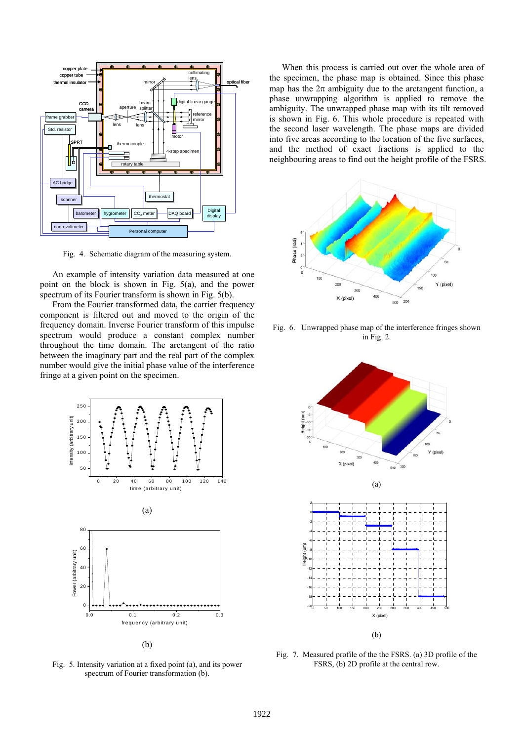

Fig. 4. Schematic diagram of the measuring system.

An example of intensity variation data measured at one point on the block is shown in Fig. 5(a), and the power spectrum of its Fourier transform is shown in Fig. 5(b).

From the Fourier transformed data, the carrier frequency component is filtered out and moved to the origin of the frequency domain. Inverse Fourier transform of this impulse spectrum would produce a constant complex number throughout the time domain. The arctangent of the ratio between the imaginary part and the real part of the complex number would give the initial phase value of the interference fringe at a given point on the specimen.



(b)

Fig. 5. Intensity variation at a fixed point (a), and its power spectrum of Fourier transformation (b).

When this process is carried out over the whole area of the specimen, the phase map is obtained. Since this phase map has the  $2\pi$  ambiguity due to the arctangent function, a phase unwrapping algorithm is applied to remove the ambiguity. The unwrapped phase map with its tilt removed is shown in Fig. 6. This whole procedure is repeated with the second laser wavelength. The phase maps are divided into five areas according to the location of the five surfaces, and the method of exact fractions is applied to the neighbouring areas to find out the height profile of the FSRS.



Fig. 6. Unwrapped phase map of the interference fringes shown in Fig. 2.



Fig. 7. Measured profile of the the FSRS. (a) 3D profile of the FSRS, (b) 2D profile at the central row.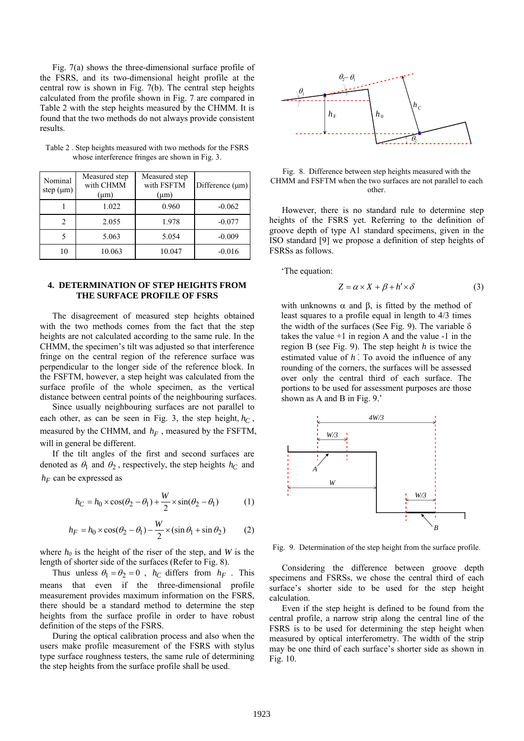Fig. 7(a) shows the three-dimensional surface profile of the FSRS, and its two-dimensional height profile at the central row is shown in Fig. 7(b). The central step heights calculated from the profile shown in Fig. 7 are compared in Table 2 with the step heights measured by the CHMM. It is found that the two methods do not always provide consistent results.

| Nominal<br>step $(\mu m)$ | Measured step<br>with CHMM<br>$(\mu m)$ | Measured step<br>with FSFTM<br>$(\mu m)$ | Difference (µm) |
|---------------------------|-----------------------------------------|------------------------------------------|-----------------|
|                           | 1.022                                   | 0.960                                    | $-0.062$        |
| 2                         | 2.055                                   | 1.978                                    | $-0.077$        |
|                           | 5.063                                   | 5.054                                    | $-0.009$        |
| 10                        | 10.063                                  | 10.047                                   | $-0.016$        |

Table 2 . Step heights measured with two methods for the FSRS whose interference fringes are shown in Fig. 3.

## **4. DETERMINATION OF STEP HEIGHTS FROM THE SURFACE PROFILE OF FSRS**

The disagreement of measured step heights obtained with the two methods comes from the fact that the step heights are not calculated according to the same rule. In the CHMM, the specimen's tilt was adjusted so that interference fringe on the central region of the reference surface was perpendicular to the longer side of the reference block. In the FSFTM, however, a step height was calculated from the surface profile of the whole specimen, as the vertical distance between central points of the neighbouring surfaces.

Since usually neighbouring surfaces are not parallel to each other, as can be seen in Fig. 3, the step height,  $h_C$ , measured by the CHMM, and  $h_F$ , measured by the FSFTM, will in general be different.

If the tilt angles of the first and second surfaces are denoted as  $\theta_1$  and  $\theta_2$ , respectively, the step heights  $h_C$  and  $h_F$  can be expressed as

$$
h_C = h_0 \times \cos(\theta_2 - \theta_1) + \frac{W}{2} \times \sin(\theta_2 - \theta_1)
$$
 (1)

$$
h_F = h_0 \times \cos(\theta_2 - \theta_1) - \frac{W}{2} \times (\sin \theta_1 + \sin \theta_2)
$$
 (2)

where  $h_0$  is the height of the riser of the step, and *W* is the length of shorter side of the surfaces (Refer to Fig. 8).

Thus unless  $\theta_1 = \theta_2 = 0$ ,  $h_C$  differs from  $h_F$ . This means that even if the three-dimensional profile measurement provides maximum information on the FSRS, there should be a standard method to determine the step heights from the surface profile in order to have robust definition of the steps of the FSRS.

During the optical calibration process and also when the users make profile measurement of the FSRS with stylus type surface roughness testers, the same rule of determining the step heights from the surface profile shall be used.



Fig. 8. Difference between step heights measured with the CHMM and FSFTM when the two surfaces are not parallel to each other.

However, there is no standard rule to determine step heights of the FSRS yet. Referring to the definition of groove depth of type A1 standard specimens, given in the ISO standard [9] we propose a definition of step heights of FSRSs as follows.

'The equation:

$$
Z = \alpha \times X + \beta + h' \times \delta \tag{3}
$$

with unknowns  $\alpha$  and  $\beta$ , is fitted by the method of least squares to a profile equal in length to 4/3 times the width of the surfaces (See Fig. 9). The variable  $\delta$ takes the value  $+1$  in region A and the value  $-1$  in the region B (see Fig. 9). The step height *h* is twice the estimated value of *h*′. To avoid the influence of any rounding of the corners, the surfaces will be assessed over only the central third of each surface. The portions to be used for assessment purposes are those shown as A and B in Fig. 9.'



Fig. 9. Determination of the step height from the surface profile.

Considering the difference between groove depth specimens and FSRSs, we chose the central third of each surface's shorter side to be used for the step height calculation.

Even if the step height is defined to be found from the central profile, a narrow strip along the central line of the FSRS is to be used for determining the step height when measured by optical interferometry. The width of the strip may be one third of each surface's shorter side as shown in Fig. 10.